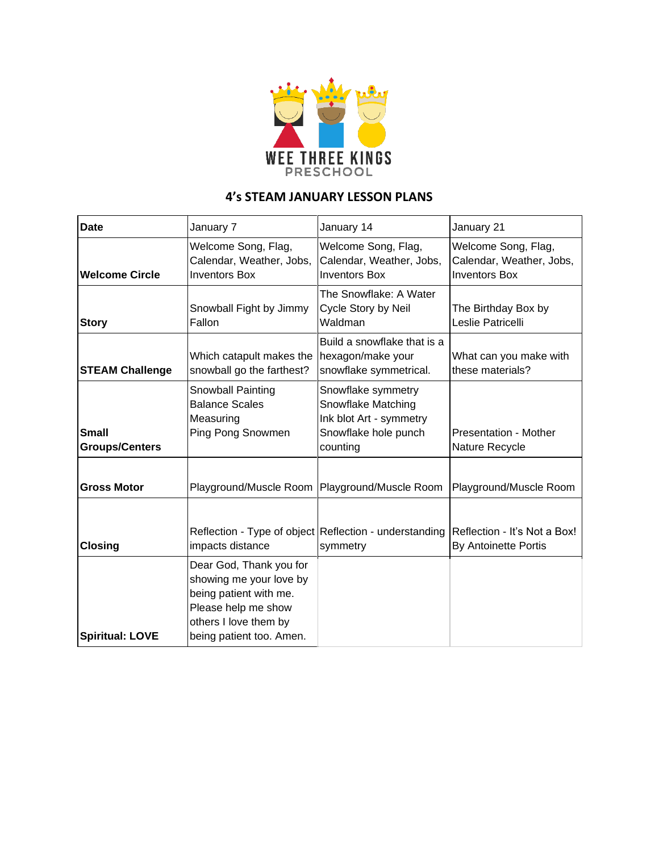

## **4's STEAM JANUARY LESSON PLANS**

| <b>Date</b>                           | January 7                                                                                                                                                | January 14                                                                                              | January 21                                                              |
|---------------------------------------|----------------------------------------------------------------------------------------------------------------------------------------------------------|---------------------------------------------------------------------------------------------------------|-------------------------------------------------------------------------|
| <b>Welcome Circle</b>                 | Welcome Song, Flag,<br>Calendar, Weather, Jobs,<br><b>Inventors Box</b>                                                                                  | Welcome Song, Flag,<br>Calendar, Weather, Jobs,<br><b>Inventors Box</b>                                 | Welcome Song, Flag,<br>Calendar, Weather, Jobs,<br><b>Inventors Box</b> |
| <b>Story</b>                          | Snowball Fight by Jimmy<br>Fallon                                                                                                                        | The Snowflake: A Water<br>Cycle Story by Neil<br>Waldman                                                | The Birthday Box by<br>Leslie Patricelli                                |
| <b>STEAM Challenge</b>                | Which catapult makes the<br>snowball go the farthest?                                                                                                    | Build a snowflake that is a<br>hexagon/make your<br>snowflake symmetrical.                              | What can you make with<br>these materials?                              |
| <b>Small</b><br><b>Groups/Centers</b> | Snowball Painting<br><b>Balance Scales</b><br>Measuring<br>Ping Pong Snowmen                                                                             | Snowflake symmetry<br>Snowflake Matching<br>Ink blot Art - symmetry<br>Snowflake hole punch<br>counting | Presentation - Mother<br>Nature Recycle                                 |
| <b>Gross Motor</b>                    | Playground/Muscle Room   Playground/Muscle Room                                                                                                          |                                                                                                         | Playground/Muscle Room                                                  |
| <b>Closing</b>                        | impacts distance                                                                                                                                         | Reflection - Type of object Reflection - understanding<br>symmetry                                      | Reflection - It's Not a Box!<br><b>By Antoinette Portis</b>             |
| <b>Spiritual: LOVE</b>                | Dear God, Thank you for<br>showing me your love by<br>being patient with me.<br>Please help me show<br>others I love them by<br>being patient too. Amen. |                                                                                                         |                                                                         |